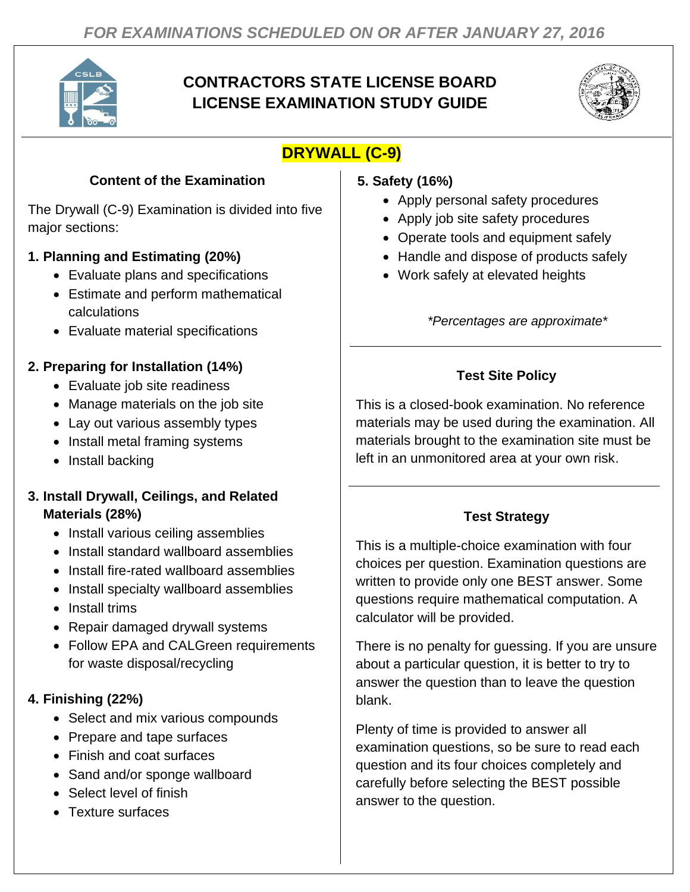

# **CONTRACTORS STATE LICENSE BOARD LICENSE EXAMINATION STUDY GUIDE**



# **DRYWALL (C-9)**

### **Content of the Examination**

The Drywall (C-9) Examination is divided into five major sections:

## **1. Planning and Estimating (20%)**

- Evaluate plans and specifications
- Estimate and perform mathematical calculations
- Evaluate material specifications

# **2. Preparing for Installation (14%)**

- Evaluate job site readiness
- Manage materials on the job site
- Lay out various assembly types
- Install metal framing systems
- Install backing

### **3. Install Drywall, Ceilings, and Related Materials (28%)**

- Install various ceiling assemblies
- Install standard wallboard assemblies
- Install fire-rated wallboard assemblies
- Install specialty wallboard assemblies
- Install trims
- Repair damaged drywall systems
- Follow EPA and CALGreen requirements for waste disposal/recycling

## **4. Finishing (22%)**

- Select and mix various compounds
- Prepare and tape surfaces
- Finish and coat surfaces
- Sand and/or sponge wallboard
- Select level of finish
- Texture surfaces

### **5. Safety (16%)**

- Apply personal safety procedures
- Apply job site safety procedures
- Operate tools and equipment safely
- Handle and dispose of products safely
- Work safely at elevated heights

*\*Percentages are approximate\**

# **Test Site Policy**

This is a closed-book examination. No reference materials may be used during the examination. All materials brought to the examination site must be left in an unmonitored area at your own risk.

# **Test Strategy**

This is a multiple-choice examination with four choices per question. Examination questions are written to provide only one BEST answer. Some questions require mathematical computation. A calculator will be provided.

There is no penalty for guessing. If you are unsure about a particular question, it is better to try to answer the question than to leave the question blank.

Plenty of time is provided to answer all examination questions, so be sure to read each question and its four choices completely and carefully before selecting the BEST possible answer to the question.